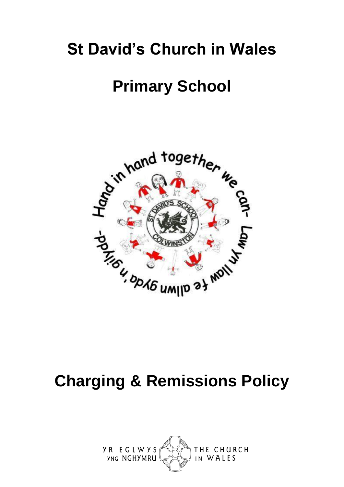## **St David's Church in Wales**

## **Primary School**



## **Charging & Remissions Policy**